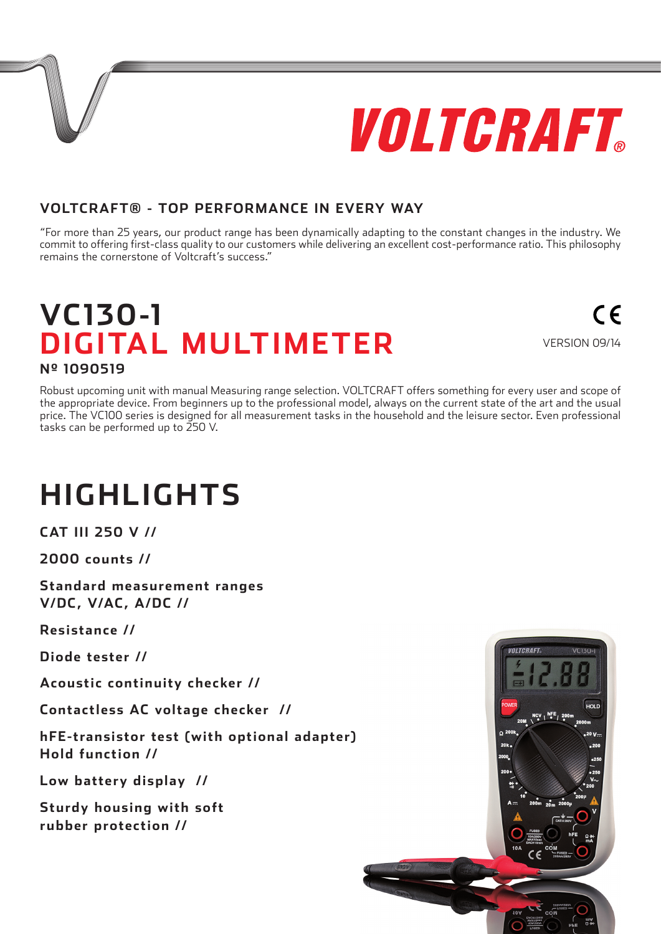

 $\epsilon$ 

### **VOLTCRAFT® - TOP PERFORMANCE IN EVERY WAY**

"For more than 25 years, our product range has been dynamically adapting to the constant changes in the industry. We commit to offering first-class quality to our customers while delivering an excellent cost-performance ratio. This philosophy remains the cornerstone of Voltcraft's success."

### **VC130-1 DIGITAL MULTIMETER** VERSION 09/14 **Nº 1090519**

Robust upcoming unit with manual Measuring range selection. VOLTCRAFT offers something for every user and scope of the appropriate device. From beginners up to the professional model, always on the current state of the art and the usual price. The VC100 series is designed for all measurement tasks in the household and the leisure sector. Even professional tasks can be performed up to 250 V.

# **HIGHLIGHTS**

**CAT III 250 V //**

**2000 counts //**

**Standard measurement ranges V/DC, V/AC, A/DC //**

**Resistance //**

**Diode tester //**

**Acoustic continuity checker //**

**Contactless AC voltage checker //**

**hFE-transistor test (with optional adapter) Hold function //**

**Low battery display //**

**Sturdy housing with soft rubber protection //**

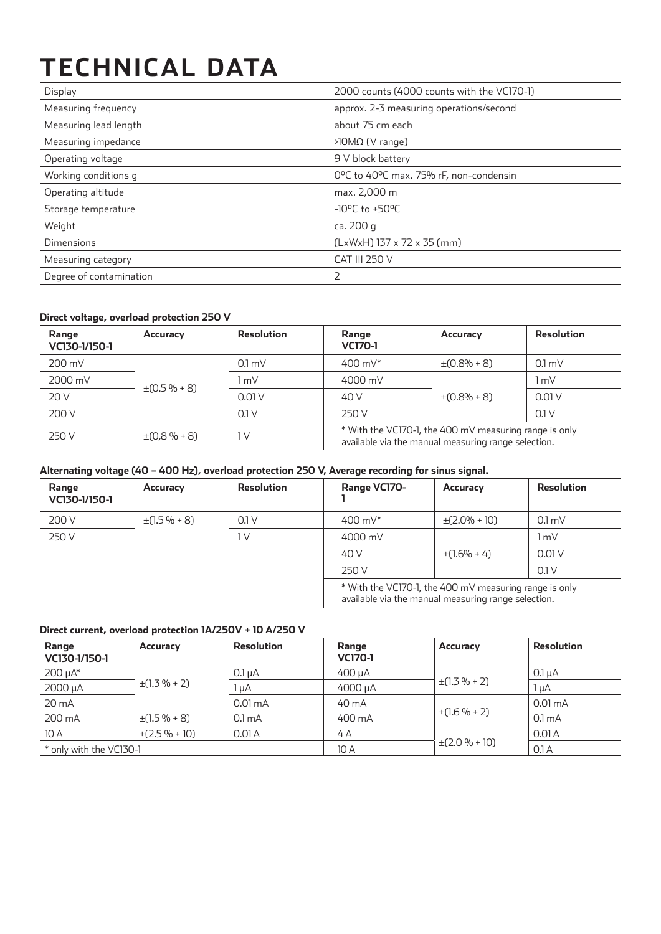# **TECHNICAL DATA**

| Display                 | 2000 counts (4000 counts with the VC170-1) |
|-------------------------|--------------------------------------------|
| Measuring frequency     | approx. 2-3 measuring operations/second    |
| Measuring lead length   | about 75 cm each                           |
| Measuring impedance     | $\frac{10}{10}$ (V range)                  |
| Operating voltage       | 9 V block battery                          |
| Working conditions g    | 0°C to 40°C max. 75% rF, non-condensin     |
| Operating altitude      | max. 2,000 m                               |
| Storage temperature     | $-10^{\circ}$ C to $+50^{\circ}$ C         |
| Weight                  | ca. 200 g                                  |
| Dimensions              | $(LxWxH)$ 137 x 72 x 35 (mm)               |
| Measuring category      | <b>CAT III 250 V</b>                       |
| Degree of contamination | 2                                          |

#### **Direct voltage, overload protection 250 V**

| Range<br>VC130-1/150-1 | Accuracy         | Resolution       | Range<br><b>VC170-1</b>                                                                                       | Accuracy          | <b>Resolution</b> |
|------------------------|------------------|------------------|---------------------------------------------------------------------------------------------------------------|-------------------|-------------------|
| 200 mV                 |                  | $0.1 \text{ mV}$ | 400 m $V^*$                                                                                                   | $\pm (0.8\% + 8)$ | 0.1 <sub>m</sub>  |
| 2000 mV                | $\pm(0.5\% + 8)$ | l mV             | 4000 mV                                                                                                       | $\pm(0.8\% + 8)$  | l mV              |
| 20 V                   |                  | 0.01V            | 40 V                                                                                                          |                   | 0.01V             |
| 200 V                  |                  | 0.1V             | 250 V                                                                                                         |                   | 0.1V              |
| 250 V                  | $\pm(0.8\% + 8)$ | 1 V              | * With the VC170-1, the 400 mV measuring range is only<br>available via the manual measuring range selection. |                   |                   |

#### **Alternating voltage (40 – 400 Hz), overload protection 250 V, Average recording for sinus signal.**

| Range<br>VC130-1/150-1 | Accuracy         | <b>Resolution</b> | Range VC170-                                                                                                  | Accuracy          | <b>Resolution</b> |
|------------------------|------------------|-------------------|---------------------------------------------------------------------------------------------------------------|-------------------|-------------------|
| 200 V                  | $\pm(1.5\% + 8)$ | 0.1V              | 400 m $V^*$                                                                                                   | $\pm$ (2.0% + 10) | 0.1 <sub>m</sub>  |
| 250 V                  |                  | 1 <sup>V</sup>    | 4000 mV                                                                                                       |                   | 1 mV              |
|                        |                  |                   | 40 V                                                                                                          | $\pm(1.6\% + 4)$  | 0.01V             |
|                        |                  |                   | 250 V                                                                                                         |                   | 0.1V              |
|                        |                  |                   | * With the VC170-1, the 400 mV measuring range is only<br>available via the manual measuring range selection. |                   |                   |

#### **Direct current, overload protection 1A/250V + 10 A/250 V**

| Range<br>VC130-1/150-1  | Accuracy           | <b>Resolution</b>  | Range<br><b>VC170-1</b> | Accuracy            | Resolution         |
|-------------------------|--------------------|--------------------|-------------------------|---------------------|--------------------|
| $200 \mu A^*$           | $\pm(1.3\% + 2)$   | $0.1 \mu A$        | $400 \mu A$             | $\pm(1.3\% + 2)$    | $0.1 \mu A$        |
| 2000 µA                 |                    | $\ln A$            | 4000 µA                 |                     | $l\mu A$           |
| $20 \text{ mA}$         |                    | 0.01 <sub>mA</sub> | 40 mA                   | $\pm(1.6\% + 2)$    | $0.01 \text{ mA}$  |
| 200 mA                  | $\pm(1.5\% + 8)$   | 0.1 <sub>m</sub> A | 400 mA                  |                     | 0.1 <sub>m</sub> A |
| 10A                     | $\pm$ (2.5 % + 10) | 0.01A              | 4A                      |                     | 0.01A              |
| * only with the VC130-1 |                    |                    | 10A                     | $\pm (2.0 \% + 10)$ | 0.1A               |